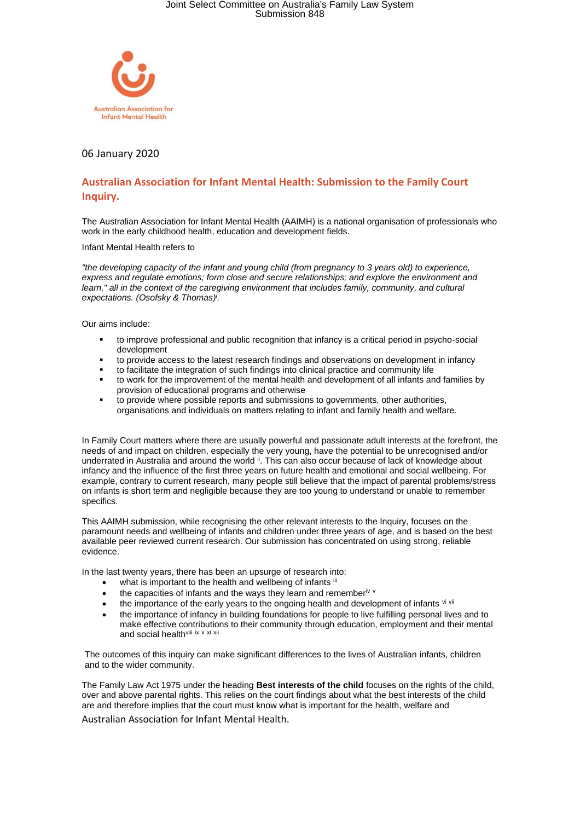

### 06 January 2020

### **Australian Association for Infant Mental Health: Submission to the Family Court Inquiry.**

The Australian Association for Infant Mental Health (AAIMH) is a national organisation of professionals who work in the early childhood health, education and development fields.

Infant Mental Health refers to

*"the developing capacity of the infant and young child (from pregnancy to 3 years old) to experience, express and regulate emotions; form close and secure relationships; and explore the environment and learn," all in the context of the caregiving environment that includes family, community, and cultural expectations. (Osofsky & Thomas) i .*

Our aims include:

- to improve professional and public recognition that infancy is a critical period in psycho-social development
- to provide access to the latest research findings and observations on development in infancy
- to facilitate the integration of such findings into clinical practice and community life
- to work for the improvement of the mental health and development of all infants and families by provision of educational programs and otherwise
- to provide where possible reports and submissions to governments, other authorities, organisations and individuals on matters relating to infant and family health and welfare.

In Family Court matters where there are usually powerful and passionate adult interests at the forefront, the needs of and impact on children, especially the very young, have the potential to be unrecognised and/or underrated in Australia and around the world <sup>ii</sup>. This can also occur because of lack of knowledge about infancy and the influence of the first three years on future health and emotional and social wellbeing. For example, contrary to current research, many people still believe that the impact of parental problems/stress on infants is short term and negligible because they are too young to understand or unable to remember specifics.

This AAIMH submission, while recognising the other relevant interests to the Inquiry, focuses on the paramount needs and wellbeing of infants and children under three years of age, and is based on the best available peer reviewed current research. Our submission has concentrated on using strong, reliable evidence.

In the last twenty years, there has been an upsurge of research into:

- what is important to the health and wellbeing of infants iii
- the capacities of infants and the ways they learn and remember<sup>iv v</sup>
- the importance of the early years to the ongoing health and development of infants vi vii
- the importance of infancy in building foundations for people to live fulfilling personal lives and to make effective contributions to their community through education, employment and their mental and social health<sup>viii</sup> ix x xi xii

The outcomes of this inquiry can make significant differences to the lives of Australian infants, children and to the wider community.

The Family Law Act 1975 under the heading **Best interests of the child** focuses on the rights of the child, over and above parental rights. This relies on the court findings about what the best interests of the child are and therefore implies that the court must know what is important for the health, welfare and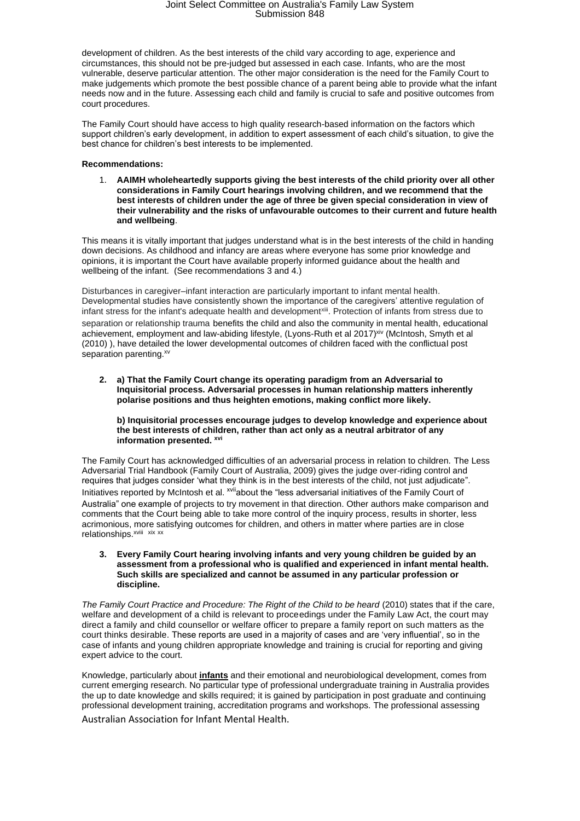development of children. As the best interests of the child vary according to age, experience and circumstances, this should not be pre-judged but assessed in each case. Infants, who are the most vulnerable, deserve particular attention. The other major consideration is the need for the Family Court to make judgements which promote the best possible chance of a parent being able to provide what the infant needs now and in the future. Assessing each child and family is crucial to safe and positive outcomes from court procedures.

The Family Court should have access to high quality research-based information on the factors which support children's early development, in addition to expert assessment of each child's situation, to give the best chance for children's best interests to be implemented.

#### **Recommendations:**

1. **AAIMH wholeheartedly supports giving the best interests of the child priority over all other considerations in Family Court hearings involving children, and we recommend that the best interests of children under the age of three be given special consideration in view of their vulnerability and the risks of unfavourable outcomes to their current and future health and wellbeing**.

This means it is vitally important that judges understand what is in the best interests of the child in handing down decisions. As childhood and infancy are areas where everyone has some prior knowledge and opinions, it is important the Court have available properly informed guidance about the health and wellbeing of the infant. (See recommendations 3 and 4.)

Disturbances in caregiver–infant interaction are particularly important to infant mental health. Developmental studies have consistently shown the importance of the caregivers' attentive regulation of infant stress for the infant's adequate health and developmentxiii. Protection of infants from stress due to separation or relationship trauma benefits the child and also the community in mental health, educational achievement, employment and law-abiding lifestyle, (Lyons-Ruth et al 2017)<sup>xiv</sup> (McIntosh, Smyth et al (2010) ), have detailed the lower developmental outcomes of children faced with the conflictual post separation parenting.xv

**2. a) That the Family Court change its operating paradigm from an Adversarial to Inquisitorial process. Adversarial processes in human relationship matters inherently polarise positions and thus heighten emotions, making conflict more likely.** 

**b) Inquisitorial processes encourage judges to develop knowledge and experience about the best interests of children, rather than act only as a neutral arbitrator of any information presented. xvi**

The Family Court has acknowledged difficulties of an adversarial process in relation to children. The Less Adversarial Trial Handbook (Family Court of Australia, 2009) gives the judge over-riding control and requires that judges consider 'what they think is in the best interests of the child, not just adjudicate". Initiatives reported by McIntosh et al. <sup>xvii</sup>about the "less adversarial initiatives of the Family Court of Australia" one example of projects to try movement in that direction. Other authors make comparison and comments that the Court being able to take more control of the inquiry process, results in shorter, less acrimonious, more satisfying outcomes for children, and others in matter where parties are in close relationships.<sup>xviii</sup> xix xx

**3. Every Family Court hearing involving infants and very young children be guided by an assessment from a professional who is qualified and experienced in infant mental health. Such skills are specialized and cannot be assumed in any particular profession or discipline.** 

*The Family Court Practice and Procedure: The Right of the Child to be heard* (2010) states that if the care, welfare and development of a child is relevant to proceedings under the Family Law Act, the court may direct a family and child counsellor or welfare officer to prepare a family report on such matters as the court thinks desirable. These reports are used in a majority of cases and are 'very influential', so in the case of infants and young children appropriate knowledge and training is crucial for reporting and giving expert advice to the court.

Knowledge, particularly about **<u>infants</u>** and their emotional and neurobiological development, comes from<br>current emerging research. No particular type of professional undergraduate training in Australia provides current emerging research. No particular type of professional undergraduate training in Australia provides the up to date knowledge and skills required; it is gained by participation in post graduate and continuing professional development training, accreditation programs and workshops. The professional assessing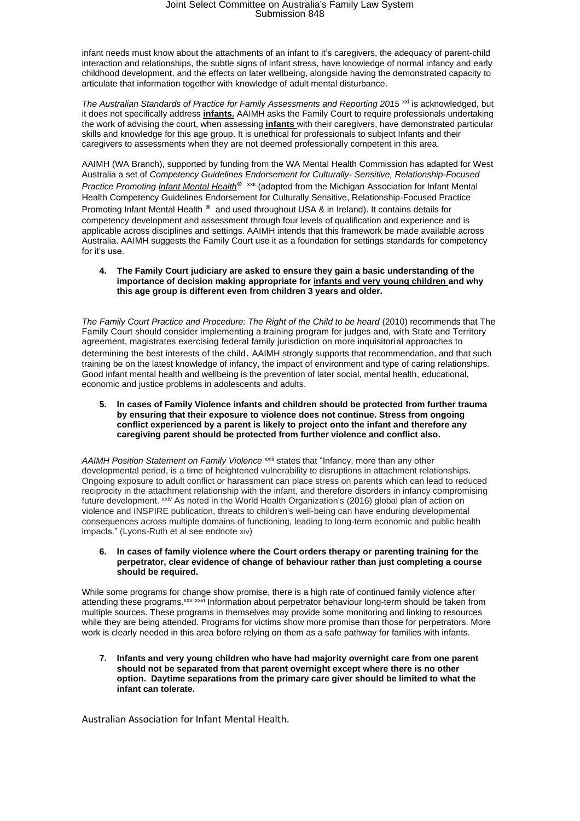infant needs must know about the attachments of an infant to it's caregivers, the adequacy of parent-child interaction and relationships, the subtle signs of infant stress, have knowledge of normal infancy and early childhood development, and the effects on later wellbeing, alongside having the demonstrated capacity to articulate that information together with knowledge of adult mental disturbance.

*The Australian Standards of Practice for Family Assessments and Reporting 2015*<sup>xxi</sup> is acknowledged, but it does not specifically address **infants.** AAIMH asks the Family Court to require professionals undertaking the work of advising the court, when assessing **infants** with their caregivers, have demonstrated particular skills and knowledge for this age group. It is unethical for professionals to subject Infants and their caregivers to assessments when they are not deemed professionally competent in this area.

AAIMH (WA Branch), supported by funding from the WA Mental Health Commission has adapted for West Australia a set of *Competency Guidelines Endorsement for Culturally- Sensitive, Relationship-Focused Practice Promoting Infant Mental Health®* xxii (adapted from the Michigan Association for Infant Mental Health Competency Guidelines Endorsement for Culturally Sensitive, Relationship-Focused Practice Promoting Infant Mental Health ® and used throughout USA & in Ireland). It contains details for competency development and assessment through four levels of qualification and experience and is applicable across disciplines and settings. AAIMH intends that this framework be made available across Australia. AAIMH suggests the Family Court use it as a foundation for settings standards for competency for it's use.

#### **4. The Family Court judiciary are asked to ensure they gain a basic understanding of the importance of decision making appropriate for infants and very young children and why this age group is different even from children 3 years and older.**

*The Family Court Practice and Procedure: The Right of the Child to be heard* (2010) recommends that The Family Court should consider implementing a training program for judges and, with State and Territory agreement, magistrates exercising federal family jurisdiction on more inquisitorial approaches to determining the best interests of the child. AAIMH strongly supports that recommendation, and that such training be on the latest knowledge of infancy, the impact of environment and type of caring relationships. Good infant mental health and wellbeing is the prevention of later social, mental health, educational, economic and justice problems in adolescents and adults.

#### **5. In cases of Family Violence infants and children should be protected from further trauma by ensuring that their exposure to violence does not continue. Stress from ongoing conflict experienced by a parent is likely to project onto the infant and therefore any caregiving parent should be protected from further violence and conflict also.**

*AAIMH Position Statement on Family Violence* xxiii states that "Infancy, more than any other developmental period, is a time of heightened vulnerability to disruptions in attachment relationships. Ongoing exposure to adult conflict or harassment can place stress on parents which can lead to reduced reciprocity in the attachment relationship with the infant, and therefore disorders in infancy compromising future development. <sup>xxiv</sup> As noted in the World Health Organization's [\(2016\)](https://onlinelibrary.wiley.com/doi/full/10.1002/imhj.21674#imhj21674-bib-0050) global plan of action on violence and INSPIRE publication, threats to children's well‐being can have enduring developmental consequences across multiple domains of functioning, leading to long-term economic and public health impacts." (Lyons-Ruth et al see endnote xiv)

#### **6. In cases of family violence where the Court orders therapy or parenting training for the perpetrator, clear evidence of change of behaviour rather than just completing a course should be required.**

While some programs for change show promise, there is a high rate of continued family violence after attending these programs.<sup>xxv</sup> xxv<sup>*xxvi*</sup> Information about perpetrator behaviour long-term should be taken from multiple sources. These programs in themselves may provide some monitoring and linking to resources while they are being attended. Programs for victims show more promise than those for perpetrators. More work is clearly needed in this area before relying on them as a safe pathway for families with infants.

**7. Infants and very young children who have had majority overnight care from one parent should not be separated from that parent overnight except where there is no other option. Daytime separations from the primary care giver should be limited to what the infant can tolerate.**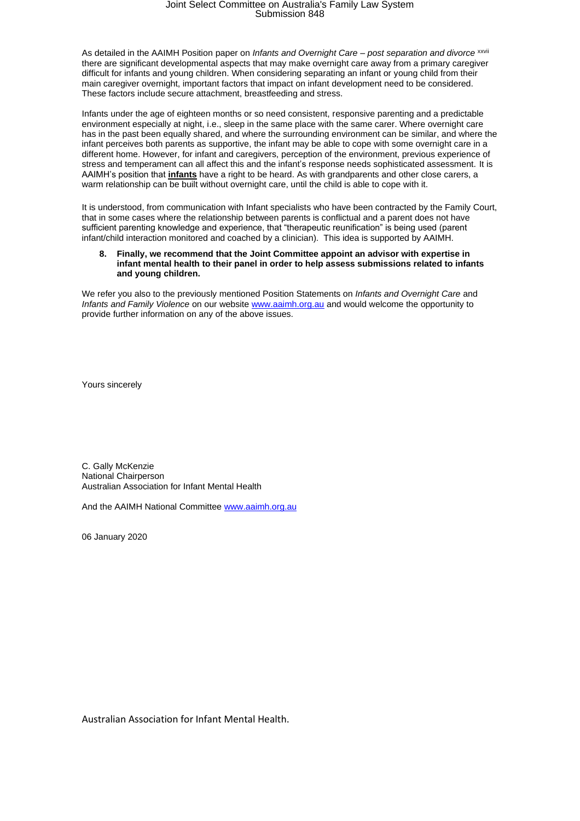As detailed in the AAIMH Position paper on *Infants and Overnight Care – post separation and divorce* xxvii there are significant developmental aspects that may make overnight care away from a primary caregiver difficult for infants and young children. When considering separating an infant or young child from their main caregiver overnight, important factors that impact on infant development need to be considered. These factors include secure attachment, breastfeeding and stress.

Infants under the age of eighteen months or so need consistent, responsive parenting and a predictable environment especially at night, i.e., sleep in the same place with the same carer. Where overnight care has in the past been equally shared, and where the surrounding environment can be similar, and where the infant perceives both parents as supportive, the infant may be able to cope with some overnight care in a different home. However, for infant and caregivers, perception of the environment, previous experience of stress and temperament can all affect this and the infant's response needs sophisticated assessment. It is AAIMH's position that **infants** have a right to be heard. As with grandparents and other close carers, a warm relationship can be built without overnight care, until the child is able to cope with it.

It is understood, from communication with Infant specialists who have been contracted by the Family Court, that in some cases where the relationship between parents is conflictual and a parent does not have sufficient parenting knowledge and experience, that "therapeutic reunification" is being used (parent infant/child interaction monitored and coached by a clinician). This idea is supported by AAIMH.

#### **8. Finally, we recommend that the Joint Committee appoint an advisor with expertise in infant mental health to their panel in order to help assess submissions related to infants and young children.**

We refer you also to the previously mentioned Position Statements on *Infants and Overnight Care* and *Infants and Family Violence* on our website [www.aaimh.org.au](http://www.aaimh.org.au/) and would welcome the opportunity to provide further information on any of the above issues.

Yours sincerely

C. Gally McKenzie National Chairperson Australian Association for Infant Mental Health

And the AAIMH National Committee [www.aaimh.org.au](http://www.aaimh.org.au/)

06 January 2020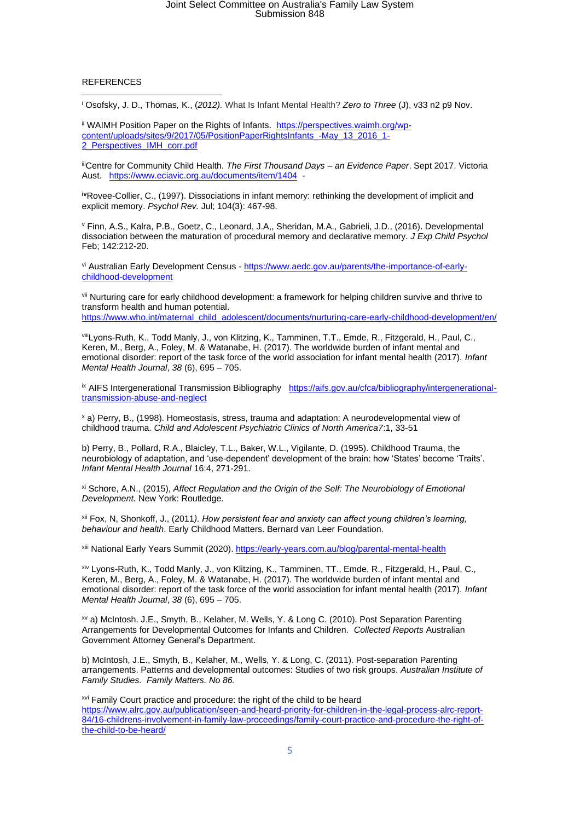#### REFERENCES

<sup>i</sup> Osofsky, J. D., Thomas*,* K., (*2012).* What Is Infant Mental Health? *Zero to Three* (J), v33 n2 p9 Nov.

ii WAIMH Position Paper on the Rights of Infants. [https://perspectives.waimh.org/wp](https://perspectives.waimh.org/wp-content/uploads/sites/9/2017/05/PositionPaperRightsInfants_-May_13_2016_1-2_Perspectives_IMH_corr.pdf)[content/uploads/sites/9/2017/05/PositionPaperRightsInfants\\_-May\\_13\\_2016\\_1-](https://perspectives.waimh.org/wp-content/uploads/sites/9/2017/05/PositionPaperRightsInfants_-May_13_2016_1-2_Perspectives_IMH_corr.pdf) [2\\_Perspectives\\_IMH\\_corr.pdf](https://perspectives.waimh.org/wp-content/uploads/sites/9/2017/05/PositionPaperRightsInfants_-May_13_2016_1-2_Perspectives_IMH_corr.pdf)

iiiCentre for Community Child Health. *The First Thousand Days – an Evidence Paper*. Sept 2017. Victoria Aust. <https://www.eciavic.org.au/documents/item/1404>-

**iv**[Rovee-Collier,](https://www.ncbi.nlm.nih.gov/pubmed/?term=Rovee-Collier%20C%5BAuthor%5D&cauthor=true&cauthor_uid=9243961) C., (1997). Dissociations in infant memory: rethinking the development of implicit and explicit memory. *[Psychol Rev.](https://www.ncbi.nlm.nih.gov/pubmed/9243961)* Jul; 104(3): 467-98.

<sup>v</sup> [Finn,](https://www.ncbi.nlm.nih.gov/pubmed/?term=Finn%20AS%5BAuthor%5D&cauthor=true&cauthor_uid=26560675) A.S., [Kalra,](https://www.ncbi.nlm.nih.gov/pubmed/?term=Kalra%20PB%5BAuthor%5D&cauthor=true&cauthor_uid=26560675) P.B., [Goetz,](https://www.ncbi.nlm.nih.gov/pubmed/?term=Goetz%20C%5BAuthor%5D&cauthor=true&cauthor_uid=26560675) C., [Leonard,](https://www.ncbi.nlm.nih.gov/pubmed/?term=Leonard%20JA%5BAuthor%5D&cauthor=true&cauthor_uid=26560675) J.A,[, Sheridan, M.A.](https://www.ncbi.nlm.nih.gov/pubmed/?term=Sheridan%20MA%5BAuthor%5D&cauthor=true&cauthor_uid=26560675), [Gabrieli,](https://www.ncbi.nlm.nih.gov/pubmed/?term=Gabrieli%20JD%5BAuthor%5D&cauthor=true&cauthor_uid=26560675) J.D., (2016). Developmental dissociation between the maturation of procedural memory and declarative memory. *J Exp Child Psychol* Feb; 142:212-20.

vi Australian Early Development Census - [https://www.aedc.gov.au/parents/the-importance-of-early](https://www.aedc.gov.au/parents/the-importance-of-early-childhood-development)[childhood-development](https://www.aedc.gov.au/parents/the-importance-of-early-childhood-development)

vii Nurturing care for early childhood development: a framework for helping children survive and thrive to transform health and human potential. [https://www.who.int/maternal\\_child\\_adolescent/documents/nurturing-care-early-childhood-development/en/](https://www.who.int/maternal_child_adolescent/documents/nurturing-care-early-childhood-development/en/)

viiiLyons-Ruth, K., Todd Manly, J., von Klitzing, K., Tamminen, T.T., Emde, R., Fitzgerald, H., Paul, C., Keren, M., Berg, A., Foley, M. & Watanabe, H. (2017). The worldwide burden of infant mental and emotional disorder: report of the task force of the world association for infant mental health (2017). *Infant Mental Health Journal*, *38* (6), 695 – 705.

ix AIFS Intergenerational Transmission Bibliography [https://aifs.gov.au/cfca/bibliography/intergenerational](https://aifs.gov.au/cfca/bibliography/intergenerational-transmission-abuse-and-neglect)[transmission-abuse-and-neglect](https://aifs.gov.au/cfca/bibliography/intergenerational-transmission-abuse-and-neglect)

<sup>x</sup> a) Perry, B., (1998). Homeostasis, stress, trauma and adaptation: A neurodevelopmental view of childhood trauma. *Child and Adolescent Psychiatric Clinics of North America7*:1, 33-51

b) Perry, B., Pollard, R.A., Blaicley, T.L., Baker, W.L., Vigilante, D. (1995). Childhood Trauma, the neurobiology of adaptation, and 'use-dependent' development of the brain: how 'States' become 'Traits'. *Infant Mental Health Journal* 16:4, 271-291.

xi Schore, A.N., (2015), *Affect Regulation and the Origin of the Self: The Neurobiology of Emotional Development.* New York: Routledge.

xii Fox, N, Shonkoff, J., (2011*). How persistent fear and anxiety can affect young children's learning, behaviour and health*. Early Childhood Matters. Bernard van Leer Foundation.

xiii National Early Years Summit (2020).<https://early-years.com.au/blog/parental-mental-health>

xiv Lyons-Ruth, K., Todd Manly, J., von Klitzing, K., Tamminen, TT., Emde, R., Fitzgerald, H., Paul, C., Keren, M., Berg, A., Foley, M. & Watanabe, H. (2017). The worldwide burden of infant mental and emotional disorder: report of the task force of the world association for infant mental health (2017). *Infant Mental Health Journal*, *38* (6), 695 – 705.

xv a) McIntosh. J.E., Smyth, B., Kelaher, M. Wells, Y. & Long C. (2010). Post Separation Parenting Arrangements for Developmental Outcomes for Infants and Children*. Collected Reports* Australian Government Attorney General's Department.

b) McIntosh, J.E., Smyth, B., Kelaher, M., Wells, Y. & Long, C. (2011). Post-separation Parenting arrangements. Patterns and developmental outcomes: Studies of two risk groups. *Australian Institute of Family Studies. Family Matters. No 86.*

<sup>xvi</sup> Family Court practice and procedure: the right of the child to be heard [https://www.alrc.gov.au/publication/seen-and-heard-priority-for-children-in-the-legal-process-alrc-report-](https://www.alrc.gov.au/publication/seen-and-heard-priority-for-children-in-the-legal-process-alrc-report-84/16-childrens-involvement-in-family-law-proceedings/family-court-practice-and-procedure-the-right-of-the-child-to-be-heard/)[84/16-childrens-involvement-in-family-law-proceedings/family-court-practice-and-procedure-the-right-of](https://www.alrc.gov.au/publication/seen-and-heard-priority-for-children-in-the-legal-process-alrc-report-84/16-childrens-involvement-in-family-law-proceedings/family-court-practice-and-procedure-the-right-of-the-child-to-be-heard/)[the-child-to-be-heard/](https://www.alrc.gov.au/publication/seen-and-heard-priority-for-children-in-the-legal-process-alrc-report-84/16-childrens-involvement-in-family-law-proceedings/family-court-practice-and-procedure-the-right-of-the-child-to-be-heard/)